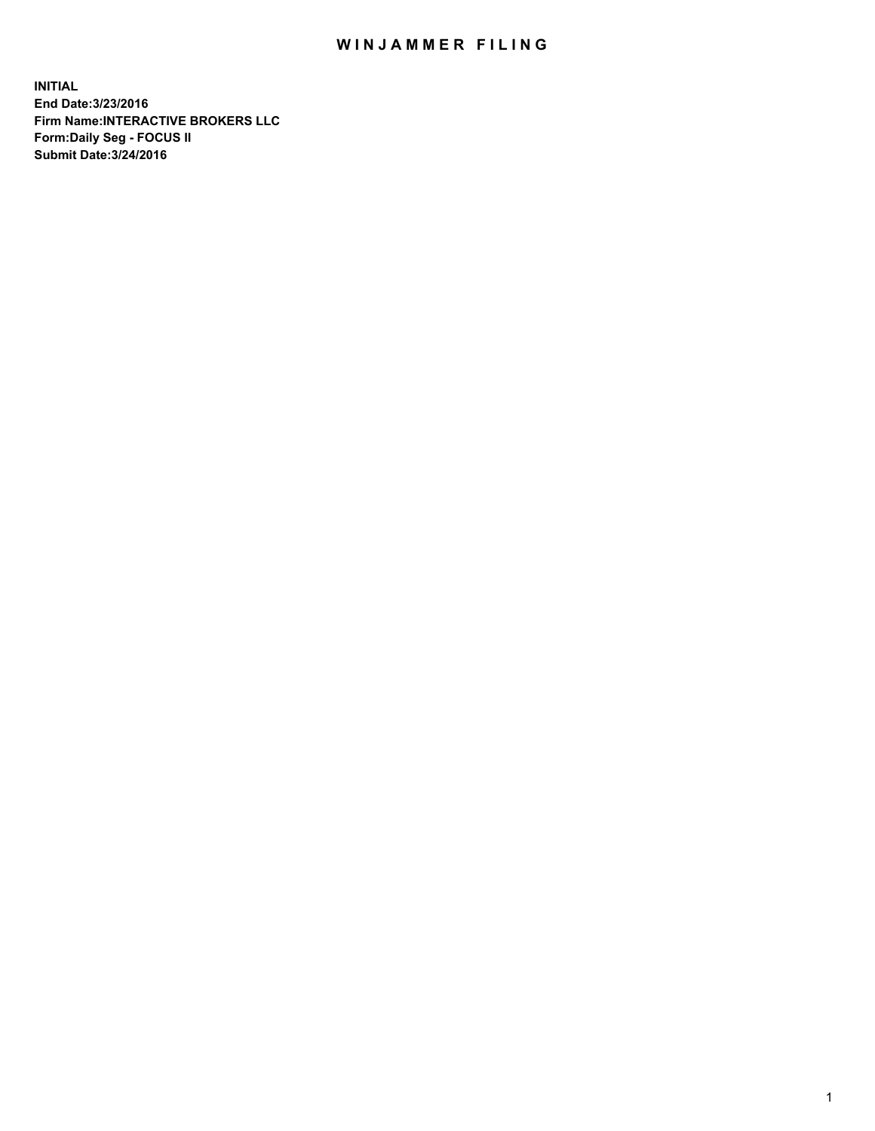## WIN JAMMER FILING

**INITIAL End Date:3/23/2016 Firm Name:INTERACTIVE BROKERS LLC Form:Daily Seg - FOCUS II Submit Date:3/24/2016**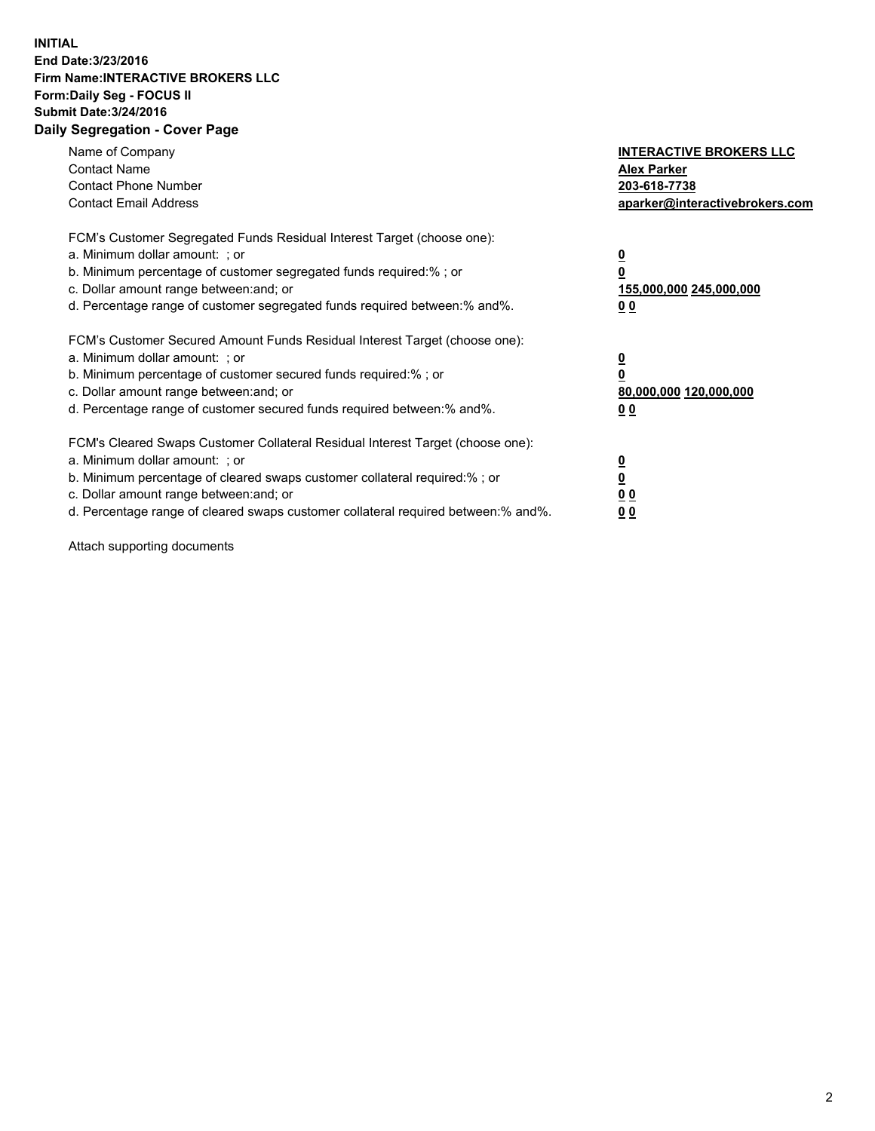## **INITIAL End Date:3/23/2016 Firm Name:INTERACTIVE BROKERS LLC Form:Daily Seg - FOCUS II Submit Date:3/24/2016 Daily Segregation - Cover Page**

| Name of Company<br><b>Contact Name</b><br><b>Contact Phone Number</b><br><b>Contact Email Address</b>                                                                                                                                                                                                                          | <b>INTERACTIVE BROKERS LLC</b><br><b>Alex Parker</b><br>203-618-7738<br>aparker@interactivebrokers.com |
|--------------------------------------------------------------------------------------------------------------------------------------------------------------------------------------------------------------------------------------------------------------------------------------------------------------------------------|--------------------------------------------------------------------------------------------------------|
| FCM's Customer Segregated Funds Residual Interest Target (choose one):<br>a. Minimum dollar amount: ; or<br>b. Minimum percentage of customer segregated funds required:%; or<br>c. Dollar amount range between: and; or<br>d. Percentage range of customer segregated funds required between:% and%.                          | <u>0</u><br>155,000,000 245,000,000<br><u>0 0</u>                                                      |
| FCM's Customer Secured Amount Funds Residual Interest Target (choose one):<br>a. Minimum dollar amount: ; or<br>b. Minimum percentage of customer secured funds required:% ; or<br>c. Dollar amount range between: and; or<br>d. Percentage range of customer secured funds required between:% and%.                           | <u>0</u><br>80,000,000 120,000,000<br><u>0 0</u>                                                       |
| FCM's Cleared Swaps Customer Collateral Residual Interest Target (choose one):<br>a. Minimum dollar amount: ; or<br>b. Minimum percentage of cleared swaps customer collateral required:% ; or<br>c. Dollar amount range between: and; or<br>d. Percentage range of cleared swaps customer collateral required between:% and%. | <u>0</u><br>0 <sub>0</sub><br>0 <sub>0</sub>                                                           |

Attach supporting documents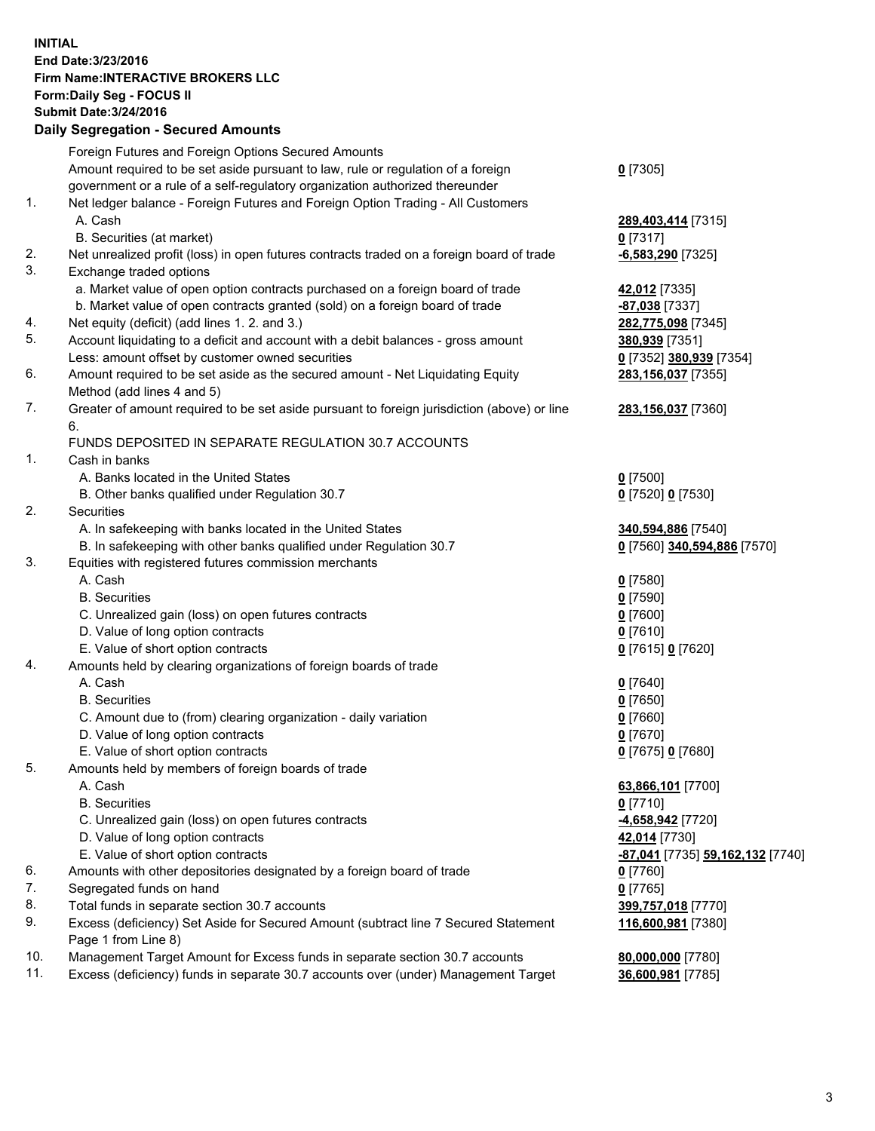## **INITIAL End Date:3/23/2016 Firm Name:INTERACTIVE BROKERS LLC Form:Daily Seg - FOCUS II Submit Date:3/24/2016 Daily Segregation - Secured Amounts**

|     | Daily Ocglegation - Occuled Amounts                                                                        |                                  |
|-----|------------------------------------------------------------------------------------------------------------|----------------------------------|
|     | Foreign Futures and Foreign Options Secured Amounts                                                        |                                  |
|     | Amount required to be set aside pursuant to law, rule or regulation of a foreign                           | $0$ [7305]                       |
|     | government or a rule of a self-regulatory organization authorized thereunder                               |                                  |
| 1.  | Net ledger balance - Foreign Futures and Foreign Option Trading - All Customers                            |                                  |
|     | A. Cash                                                                                                    | 289,403,414 [7315]               |
|     | B. Securities (at market)                                                                                  | $0$ [7317]                       |
| 2.  | Net unrealized profit (loss) in open futures contracts traded on a foreign board of trade                  | $-6,583,290$ [7325]              |
| 3.  | Exchange traded options                                                                                    |                                  |
|     | a. Market value of open option contracts purchased on a foreign board of trade                             | 42,012 [7335]                    |
|     | b. Market value of open contracts granted (sold) on a foreign board of trade                               | -87,038 [7337]                   |
| 4.  | Net equity (deficit) (add lines 1. 2. and 3.)                                                              | 282,775,098 [7345]               |
| 5.  | Account liquidating to a deficit and account with a debit balances - gross amount                          | 380,939 [7351]                   |
|     | Less: amount offset by customer owned securities                                                           | 0 [7352] 380,939 [7354]          |
| 6.  | Amount required to be set aside as the secured amount - Net Liquidating Equity                             | 283,156,037 [7355]               |
|     | Method (add lines 4 and 5)                                                                                 |                                  |
| 7.  | Greater of amount required to be set aside pursuant to foreign jurisdiction (above) or line                | 283,156,037 [7360]               |
|     | 6.                                                                                                         |                                  |
|     | FUNDS DEPOSITED IN SEPARATE REGULATION 30.7 ACCOUNTS                                                       |                                  |
| 1.  | Cash in banks                                                                                              |                                  |
|     | A. Banks located in the United States                                                                      | $0$ [7500]                       |
|     | B. Other banks qualified under Regulation 30.7                                                             | 0 [7520] 0 [7530]                |
| 2.  | Securities                                                                                                 |                                  |
|     | A. In safekeeping with banks located in the United States                                                  | 340,594,886 [7540]               |
|     | B. In safekeeping with other banks qualified under Regulation 30.7                                         | 0 [7560] 340,594,886 [7570]      |
| 3.  | Equities with registered futures commission merchants                                                      |                                  |
|     | A. Cash                                                                                                    | $0$ [7580]                       |
|     | <b>B.</b> Securities                                                                                       | $0$ [7590]                       |
|     | C. Unrealized gain (loss) on open futures contracts                                                        | $0$ [7600]                       |
|     | D. Value of long option contracts                                                                          | $0$ [7610]                       |
|     | E. Value of short option contracts                                                                         | 0 [7615] 0 [7620]                |
| 4.  | Amounts held by clearing organizations of foreign boards of trade                                          |                                  |
|     | A. Cash                                                                                                    | $0$ [7640]                       |
|     | <b>B.</b> Securities                                                                                       | $0$ [7650]                       |
|     | C. Amount due to (from) clearing organization - daily variation                                            | $0$ [7660]                       |
|     | D. Value of long option contracts                                                                          | $0$ [7670]                       |
|     | E. Value of short option contracts                                                                         | 0 [7675] 0 [7680]                |
| 5.  | Amounts held by members of foreign boards of trade                                                         |                                  |
|     | A. Cash                                                                                                    | 63,866,101 [7700]                |
|     | <b>B.</b> Securities                                                                                       | $0$ [7710]                       |
|     | C. Unrealized gain (loss) on open futures contracts                                                        | <u>-4,658,942</u> [7720]         |
|     | D. Value of long option contracts                                                                          | 42,014 [7730]                    |
|     | E. Value of short option contracts                                                                         | -87,041 [7735] 59,162,132 [7740] |
| 6.  | Amounts with other depositories designated by a foreign board of trade                                     | 0 [7760]                         |
| 7.  | Segregated funds on hand                                                                                   | $0$ [7765]                       |
| 8.  | Total funds in separate section 30.7 accounts                                                              | 399,757,018 [7770]               |
| 9.  | Excess (deficiency) Set Aside for Secured Amount (subtract line 7 Secured Statement<br>Page 1 from Line 8) | 116,600,981 [7380]               |
| 10. | Management Target Amount for Excess funds in separate section 30.7 accounts                                | 80,000,000 [7780]                |
| 11. | Excess (deficiency) funds in separate 30.7 accounts over (under) Management Target                         | 36,600,981 [7785]                |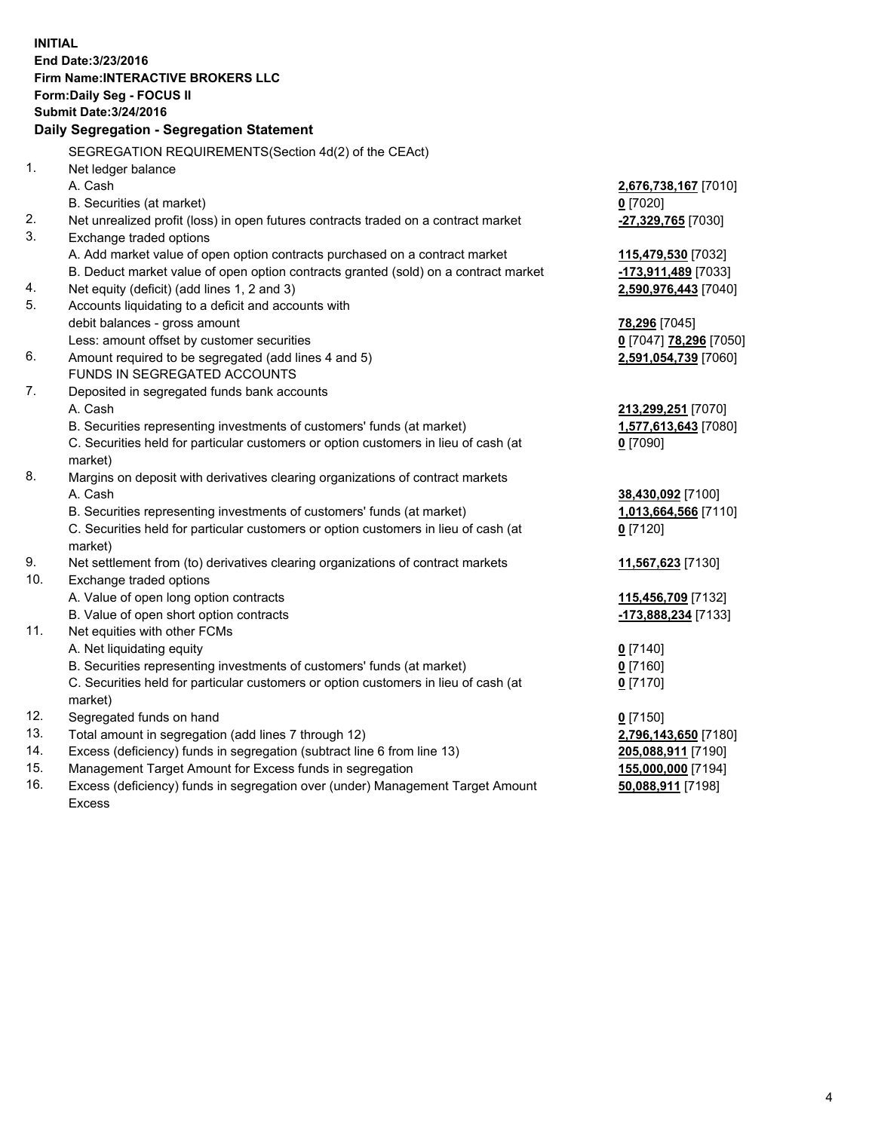**INITIAL End Date:3/23/2016 Firm Name:INTERACTIVE BROKERS LLC Form:Daily Seg - FOCUS II Submit Date:3/24/2016 Daily Segregation - Segregation Statement** SEGREGATION REQUIREMENTS(Section 4d(2) of the CEAct) 1. Net ledger balance A. Cash **2,676,738,167** [7010] B. Securities (at market) **0** [7020] 2. Net unrealized profit (loss) in open futures contracts traded on a contract market **-27,329,765** [7030] 3. Exchange traded options A. Add market value of open option contracts purchased on a contract market **115,479,530** [7032] B. Deduct market value of open option contracts granted (sold) on a contract market **-173,911,489** [7033] 4. Net equity (deficit) (add lines 1, 2 and 3) **2,590,976,443** [7040] 5. Accounts liquidating to a deficit and accounts with debit balances - gross amount **78,296** [7045] Less: amount offset by customer securities **0** [7047] **78,296** [7050] 6. Amount required to be segregated (add lines 4 and 5) **2,591,054,739** [7060] FUNDS IN SEGREGATED ACCOUNTS 7. Deposited in segregated funds bank accounts A. Cash **213,299,251** [7070] B. Securities representing investments of customers' funds (at market) **1,577,613,643** [7080] C. Securities held for particular customers or option customers in lieu of cash (at market) **0** [7090] 8. Margins on deposit with derivatives clearing organizations of contract markets A. Cash **38,430,092** [7100] B. Securities representing investments of customers' funds (at market) **1,013,664,566** [7110] C. Securities held for particular customers or option customers in lieu of cash (at market) **0** [7120] 9. Net settlement from (to) derivatives clearing organizations of contract markets **11,567,623** [7130] 10. Exchange traded options A. Value of open long option contracts **115,456,709** [7132] B. Value of open short option contracts **-173,888,234** [7133] 11. Net equities with other FCMs A. Net liquidating equity **0** [7140] B. Securities representing investments of customers' funds (at market) **0** [7160] C. Securities held for particular customers or option customers in lieu of cash (at market) **0** [7170] 12. Segregated funds on hand **0** [7150] 13. Total amount in segregation (add lines 7 through 12) **2,796,143,650** [7180] 14. Excess (deficiency) funds in segregation (subtract line 6 from line 13) **205,088,911** [7190] 15. Management Target Amount for Excess funds in segregation **155,000,000** [7194] **50,088,911** [7198]

16. Excess (deficiency) funds in segregation over (under) Management Target Amount Excess